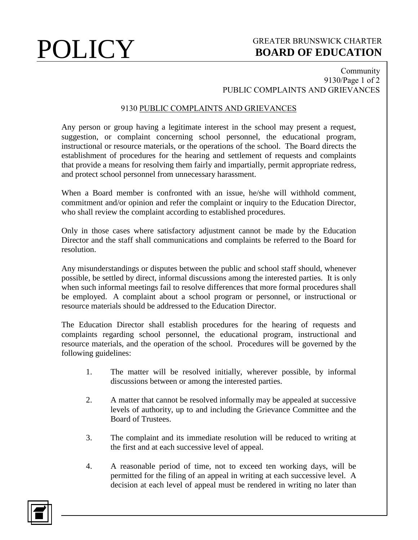# **POLICY** GREATER BRUNSWICK CHARTER BOARD OF EDUCATION **BOARD OF EDUCATION**

### Community 9130/Page 1 of 2 PUBLIC COMPLAINTS AND GRIEVANCES

## 9130 PUBLIC COMPLAINTS AND GRIEVANCES

Any person or group having a legitimate interest in the school may present a request, suggestion, or complaint concerning school personnel, the educational program, instructional or resource materials, or the operations of the school. The Board directs the establishment of procedures for the hearing and settlement of requests and complaints that provide a means for resolving them fairly and impartially, permit appropriate redress, and protect school personnel from unnecessary harassment.

When a Board member is confronted with an issue, he/she will withhold comment, commitment and/or opinion and refer the complaint or inquiry to the Education Director, who shall review the complaint according to established procedures.

Only in those cases where satisfactory adjustment cannot be made by the Education Director and the staff shall communications and complaints be referred to the Board for resolution.

Any misunderstandings or disputes between the public and school staff should, whenever possible, be settled by direct, informal discussions among the interested parties. It is only when such informal meetings fail to resolve differences that more formal procedures shall be employed. A complaint about a school program or personnel, or instructional or resource materials should be addressed to the Education Director.

The Education Director shall establish procedures for the hearing of requests and complaints regarding school personnel, the educational program, instructional and resource materials, and the operation of the school. Procedures will be governed by the following guidelines:

- 1. The matter will be resolved initially, wherever possible, by informal discussions between or among the interested parties.
- 2. A matter that cannot be resolved informally may be appealed at successive levels of authority, up to and including the Grievance Committee and the Board of Trustees.
- 3. The complaint and its immediate resolution will be reduced to writing at the first and at each successive level of appeal.
- 4. A reasonable period of time, not to exceed ten working days, will be permitted for the filing of an appeal in writing at each successive level. A decision at each level of appeal must be rendered in writing no later than